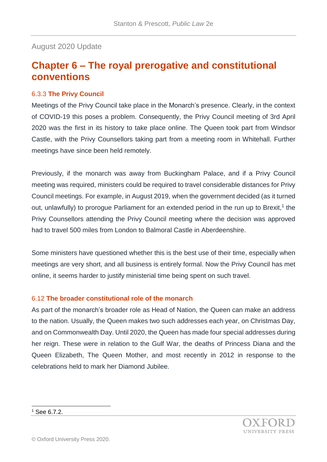## August 2020 Update

## **Chapter 6 – The royal prerogative and constitutional conventions**

## 6.3.3 **The Privy Council**

Meetings of the Privy Council take place in the Monarch's presence. Clearly, in the context of COVID-19 this poses a problem. Consequently, the Privy Council meeting of 3rd April 2020 was the first in its history to take place online. The Queen took part from Windsor Castle, with the Privy Counsellors taking part from a meeting room in Whitehall. Further meetings have since been held remotely.

Previously, if the monarch was away from Buckingham Palace, and if a Privy Council meeting was required, ministers could be required to travel considerable distances for Privy Council meetings. For example, in August 2019, when the government decided (as it turned out, unlawfully) to prorogue Parliament for an extended period in the run up to Brexit,<sup>1</sup> the Privy Counsellors attending the Privy Council meeting where the decision was approved had to travel 500 miles from London to Balmoral Castle in Aberdeenshire.

Some ministers have questioned whether this is the best use of their time, especially when meetings are very short, and all business is entirely formal. Now the Privy Council has met online, it seems harder to justify ministerial time being spent on such travel.

## 6.12 **The broader constitutional role of the monarch**

As part of the monarch's broader role as Head of Nation, the Queen can make an address to the nation. Usually, the Queen makes two such addresses each year, on Christmas Day, and on Commonwealth Day. Until 2020, the Queen has made four special addresses during her reign. These were in relation to the Gulf War, the deaths of Princess Diana and the Queen Elizabeth, The Queen Mother, and most recently in 2012 in response to the celebrations held to mark her Diamond Jubilee.

l  $1$  See 6.7.2.